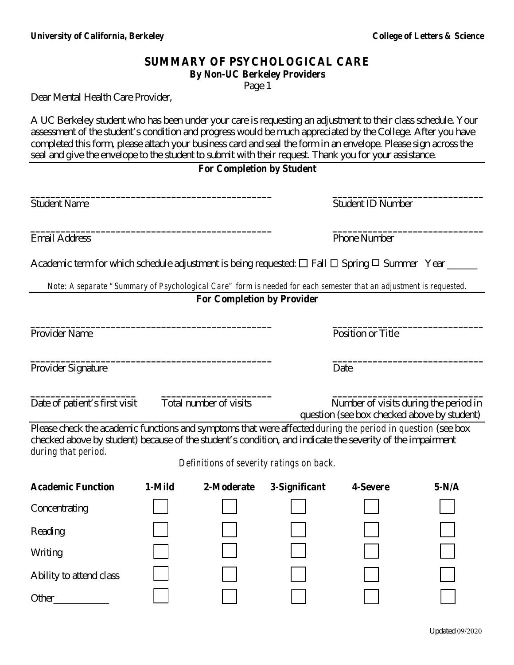## **SUMMARY OF PSYCHOLOGICAL CARE**

**By Non-UC Berkeley Providers** 

Page 1

Dear Mental Health Care Provider,

A UC Berkeley student who has been under your care is requesting an adjustment to their class schedule. Your assessment of the student's condition and progress would be much appreciated by the College. After you have completed this form, please attach your business card and seal the form in an envelope. Please sign across the seal and give the envelope to the student to submit with their request. Thank you for your assistance.

### **For Completion by Student**

| <b>Student Name</b>           |                                   | <b>Student ID Number</b>                                                                                           |  |  |
|-------------------------------|-----------------------------------|--------------------------------------------------------------------------------------------------------------------|--|--|
| <b>Email Address</b>          |                                   | <b>Phone Number</b>                                                                                                |  |  |
|                               |                                   | Academic term for which schedule adjustment is being requested: $\Box$ Fall $\Box$ Spring $\Box$ Summer Year _____ |  |  |
|                               |                                   | Note: A separate "Summary of Psychological Care" form is needed for each semester that an adjustment is requested. |  |  |
|                               | <b>For Completion by Provider</b> |                                                                                                                    |  |  |
| Provider Name                 |                                   | Position or Title                                                                                                  |  |  |
| Provider Signature            |                                   | Date                                                                                                               |  |  |
| Date of patient's first visit | Total number of visits            | Number of visits during the period in<br>question (see box checked above by student)                               |  |  |
|                               |                                   | Please check the academic functions and symptoms that were affected <i>during the period in question</i> (see box  |  |  |

checked above by student) because of the student's condition, and indicate the severity of the impairment *during that period.* 

*Definitions of severity ratings on back.* 

| <b>Academic Function</b> | 1-Mild | 2-Moderate | 3-Significant | 4-Severe | $5-N/A$ |
|--------------------------|--------|------------|---------------|----------|---------|
| Concentrating            |        |            |               |          |         |
| Reading                  |        |            |               |          |         |
| Writing                  |        |            |               |          |         |
| Ability to attend class  |        |            |               |          |         |
| Other                    |        |            |               |          |         |